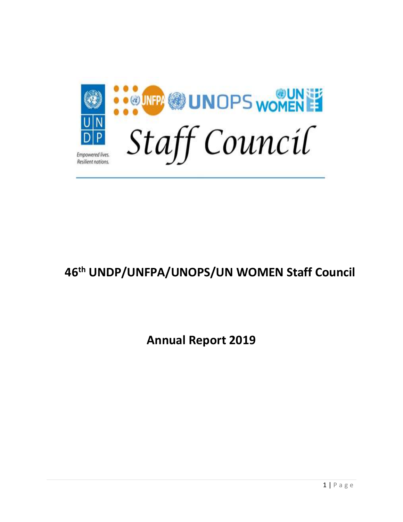

# **46th UNDP/UNFPA/UNOPS/UN WOMEN Staff Council**

**Annual Report 2019**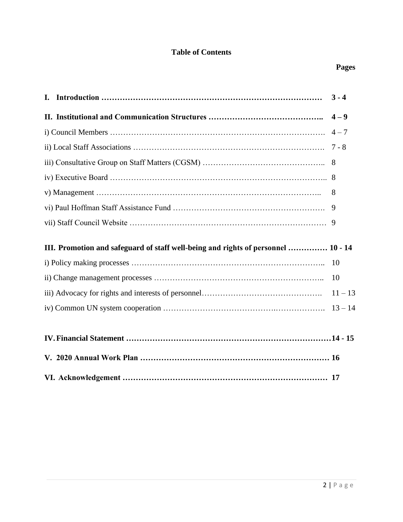# **Table of Contents**

|                                                                                   | $3 - 4$   |
|-----------------------------------------------------------------------------------|-----------|
|                                                                                   |           |
|                                                                                   |           |
|                                                                                   |           |
|                                                                                   |           |
|                                                                                   |           |
|                                                                                   | 8         |
|                                                                                   | 9         |
|                                                                                   |           |
| III. Promotion and safeguard of staff well-being and rights of personnel  10 - 14 |           |
|                                                                                   | 10        |
|                                                                                   | <b>10</b> |
|                                                                                   |           |
|                                                                                   |           |
|                                                                                   |           |
|                                                                                   |           |
|                                                                                   |           |
|                                                                                   |           |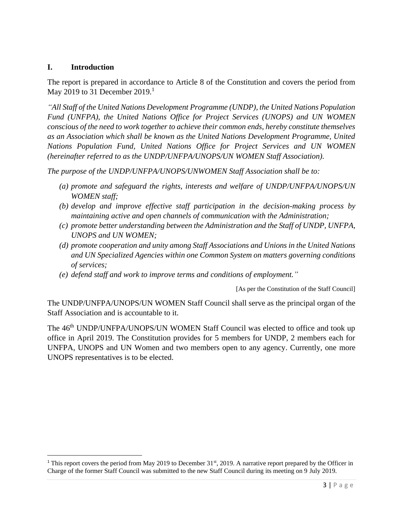## **I. Introduction**

The report is prepared in accordance to Article 8 of the Constitution and covers the period from May 2019 to 31 December  $2019<sup>1</sup>$ 

*"All Staff of the United Nations Development Programme (UNDP), the United Nations Population Fund (UNFPA), the United Nations Office for Project Services (UNOPS) and UN WOMEN conscious of the need to work together to achieve their common ends, hereby constitute themselves as an Association which shall be known as the United Nations Development Programme, United Nations Population Fund, United Nations Office for Project Services and UN WOMEN (hereinafter referred to as the UNDP/UNFPA/UNOPS/UN WOMEN Staff Association).*

*The purpose of the UNDP/UNFPA/UNOPS/UNWOMEN Staff Association shall be to:*

- *(a) promote and safeguard the rights, interests and welfare of UNDP/UNFPA/UNOPS/UN WOMEN staff;*
- *(b) develop and improve effective staff participation in the decision-making process by maintaining active and open channels of communication with the Administration;*
- *(c) promote better understanding between the Administration and the Staff of UNDP, UNFPA, UNOPS and UN WOMEN;*
- *(d) promote cooperation and unity among Staff Associations and Unions in the United Nations and UN Specialized Agencies within one Common System on matters governing conditions of services;*
- *(e) defend staff and work to improve terms and conditions of employment."*

[As per the Constitution of the Staff Council]

The UNDP/UNFPA/UNOPS/UN WOMEN Staff Council shall serve as the principal organ of the Staff Association and is accountable to it.

The 46<sup>th</sup> UNDP/UNFPA/UNOPS/UN WOMEN Staff Council was elected to office and took up office in April 2019. The Constitution provides for 5 members for UNDP, 2 members each for UNFPA, UNOPS and UN Women and two members open to any agency. Currently, one more UNOPS representatives is to be elected.

<sup>&</sup>lt;sup>1</sup> This report covers the period from May 2019 to December 31<sup>st</sup>, 2019. A narrative report prepared by the Officer in Charge of the former Staff Council was submitted to the new Staff Council during its meeting on 9 July 2019.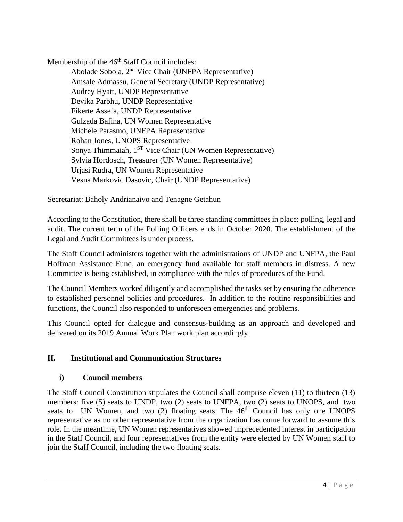Membership of the 46<sup>th</sup> Staff Council includes:

Abolade Sobola, 2nd Vice Chair (UNFPA Representative) Amsale Admassu, General Secretary (UNDP Representative) Audrey Hyatt, UNDP Representative Devika Parbhu, UNDP Representative Fikerte Assefa, UNDP Representative Gulzada Bafina, UN Women Representative Michele Parasmo, UNFPA Representative Rohan Jones, UNOPS Representative Sonya Thimmaiah, 1<sup>ST</sup> Vice Chair (UN Women Representative) Sylvia Hordosch, Treasurer (UN Women Representative) Urjasi Rudra, UN Women Representative Vesna Markovic Dasovic, Chair (UNDP Representative)

Secretariat: Baholy Andrianaivo and Tenagne Getahun

According to the Constitution, there shall be three standing committees in place: polling, legal and audit. The current term of the Polling Officers ends in October 2020. The establishment of the Legal and Audit Committees is under process.

The Staff Council administers together with the administrations of UNDP and UNFPA, the Paul Hoffman Assistance Fund, an emergency fund available for staff members in distress. A new Committee is being established, in compliance with the rules of procedures of the Fund.

The Council Members worked diligently and accomplished the tasks set by ensuring the adherence to established personnel policies and procedures. In addition to the routine responsibilities and functions, the Council also responded to unforeseen emergencies and problems.

This Council opted for dialogue and consensus-building as an approach and developed and delivered on its 2019 Annual Work Plan work plan accordingly.

## **II. Institutional and Communication Structures**

#### **i) Council members**

The Staff Council Constitution stipulates the Council shall comprise eleven (11) to thirteen (13) members: five (5) seats to UNDP, two (2) seats to UNFPA, two (2) seats to UNOPS, and two seats to UN Women, and two  $(2)$  floating seats. The  $46<sup>th</sup>$  Council has only one UNOPS representative as no other representative from the organization has come forward to assume this role. In the meantime, UN Women representatives showed unprecedented interest in participation in the Staff Council, and four representatives from the entity were elected by UN Women staff to join the Staff Council, including the two floating seats.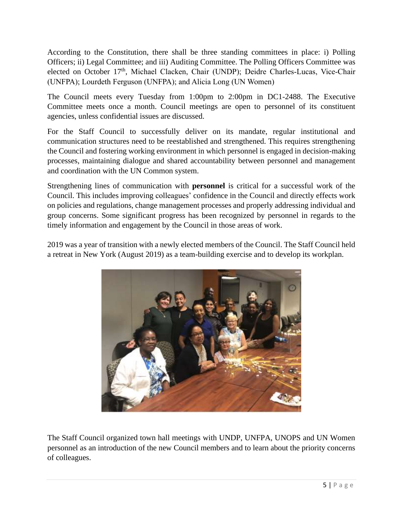According to the Constitution, there shall be three standing committees in place: i) Polling Officers; ii) Legal Committee; and iii) Auditing Committee. The Polling Officers Committee was elected on October 17<sup>th</sup>, Michael Clacken, Chair (UNDP); Deidre Charles-Lucas, Vice-Chair (UNFPA); Lourdeth Ferguson (UNFPA); and Alicia Long (UN Women)

The Council meets every Tuesday from 1:00pm to 2:00pm in DC1-2488. The Executive Committee meets once a month. Council meetings are open to personnel of its constituent agencies, unless confidential issues are discussed.

For the Staff Council to successfully deliver on its mandate, regular institutional and communication structures need to be reestablished and strengthened. This requires strengthening the Council and fostering working environment in which personnel is engaged in decision-making processes, maintaining dialogue and shared accountability between personnel and management and coordination with the UN Common system.

Strengthening lines of communication with **personnel** is critical for a successful work of the Council. This includes improving colleagues' confidence in the Council and directly effects work on policies and regulations, change management processes and properly addressing individual and group concerns. Some significant progress has been recognized by personnel in regards to the timely information and engagement by the Council in those areas of work.

2019 was a year of transition with a newly elected members of the Council. The Staff Council held a retreat in New York (August 2019) as a team-building exercise and to develop its workplan.



The Staff Council organized town hall meetings with UNDP, UNFPA, UNOPS and UN Women personnel as an introduction of the new Council members and to learn about the priority concerns of colleagues.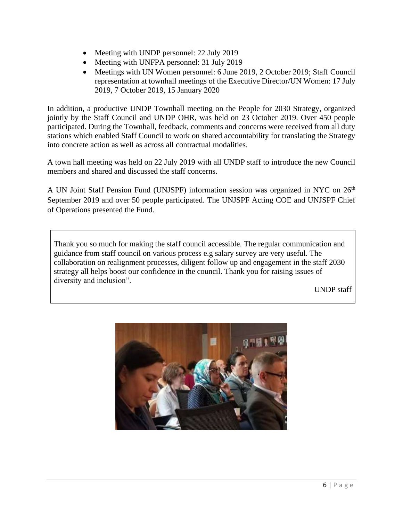- Meeting with UNDP personnel: 22 July 2019
- Meeting with UNFPA personnel: 31 July 2019
- Meetings with UN Women personnel: 6 June 2019, 2 October 2019; Staff Council representation at townhall meetings of the Executive Director/UN Women: 17 July 2019, 7 October 2019, 15 January 2020

In addition, a productive UNDP Townhall meeting on the People for 2030 Strategy, organized jointly by the Staff Council and UNDP OHR, was held on 23 October 2019. Over 450 people participated. During the Townhall, feedback, comments and concerns were received from all duty stations which enabled Staff Council to work on shared accountability for translating the Strategy into concrete action as well as across all contractual modalities.

A town hall meeting was held on 22 July 2019 with all UNDP staff to introduce the new Council members and shared and discussed the staff concerns.

A UN Joint Staff Pension Fund (UNJSPF) information session was organized in NYC on 26<sup>th</sup> September 2019 and over 50 people participated. The UNJSPF Acting COE and UNJSPF Chief of Operations presented the Fund.

Thank you so much for making the staff council accessible. The regular communication and guidance from staff council on various process e.g salary survey are very useful. The collaboration on realignment processes, diligent follow up and engagement in the staff 2030 strategy all helps boost our confidence in the council. Thank you for raising issues of diversity and inclusion".

UNDP staff

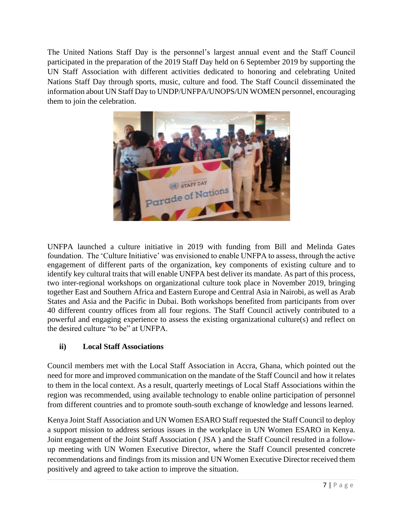The United Nations Staff Day is the personnel's largest annual event and the Staff Council participated in the preparation of the 2019 Staff Day held on 6 September 2019 by supporting the UN Staff Association with different activities dedicated to honoring and celebrating United Nations Staff Day through sports, music, culture and food. The Staff Council disseminated the information about UN Staff Day to UNDP/UNFPA/UNOPS/UN WOMEN personnel, encouraging them to join the celebration.



UNFPA launched a culture initiative in 2019 with funding from Bill and Melinda Gates foundation. The 'Culture Initiative' was envisioned to enable UNFPA to assess, through the active engagement of different parts of the organization, key components of existing culture and to identify key cultural traits that will enable UNFPA best deliver its mandate. As part of this process, two inter-regional workshops on organizational culture took place in November 2019, bringing together East and Southern Africa and Eastern Europe and Central Asia in Nairobi, as well as Arab States and Asia and the Pacific in Dubai. Both workshops benefited from participants from over 40 different country offices from all four regions. The Staff Council actively contributed to a powerful and engaging experience to assess the existing organizational culture(s) and reflect on the desired culture "to be" at UNFPA.

## **ii) Local Staff Associations**

Council members met with the Local Staff Association in Accra, Ghana, which pointed out the need for more and improved communication on the mandate of the Staff Council and how it relates to them in the local context. As a result, quarterly meetings of Local Staff Associations within the region was recommended, using available technology to enable online participation of personnel from different countries and to promote south-south exchange of knowledge and lessons learned.

Kenya Joint Staff Association and UN Women ESARO Staff requested the Staff Council to deploy a support mission to address serious issues in the workplace in UN Women ESARO in Kenya. Joint engagement of the Joint Staff Association ( JSA ) and the Staff Council resulted in a followup meeting with UN Women Executive Director, where the Staff Council presented concrete recommendations and findings from its mission and UN Women Executive Director received them positively and agreed to take action to improve the situation.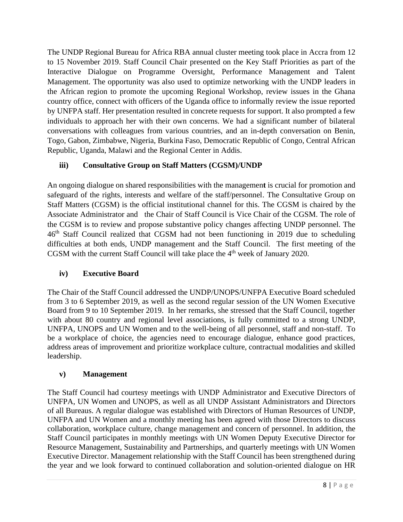The UNDP Regional Bureau for Africa RBA annual cluster meeting took place in Accra from 12 to 15 November 2019. Staff Council Chair presented on the Key Staff Priorities as part of the Interactive Dialogue on Programme Oversight, Performance Management and Talent Management. The opportunity was also used to optimize networking with the UNDP leaders in the African region to promote the upcoming Regional Workshop, review issues in the Ghana country office, connect with officers of the Uganda office to informally review the issue reported by UNFPA staff. Her presentation resulted in concrete requests for support. It also prompted a few individuals to approach her with their own concerns. We had a significant number of bilateral conversations with colleagues from various countries, and an in-depth conversation on Benin, Togo, Gabon, Zimbabwe, Nigeria, Burkina Faso, Democratic Republic of Congo, Central African Republic, Uganda, Malawi and the Regional Center in Addis.

## **iii) Consultative Group on Staff Matters (CGSM)/UNDP**

An ongoing dialogue on shared responsibilities with the managemen**t** is crucial for promotion and safeguard of the rights, interests and welfare of the staff/personnel. The Consultative Group on Staff Matters (CGSM) is the official institutional channel for this. The CGSM is chaired by the Associate Administrator and the Chair of Staff Council is Vice Chair of the CGSM. The role of the CGSM is to review and propose substantive policy changes affecting UNDP personnel. The 46th Staff Council realized that CGSM had not been functioning in 2019 due to scheduling difficulties at both ends, UNDP management and the Staff Council. The first meeting of the CGSM with the current Staff Council will take place the  $4<sup>th</sup>$  week of January 2020.

## **iv) Executive Board**

The Chair of the Staff Council addressed the UNDP/UNOPS/UNFPA Executive Board scheduled from 3 to 6 September 2019, as well as the second regular session of the UN Women Executive Board from 9 to 10 September 2019. In her remarks, she stressed that the Staff Council, together with about 80 country and regional level associations, is fully committed to a strong UNDP, UNFPA, UNOPS and UN Women and to the well-being of all personnel, staff and non-staff. To be a workplace of choice, the agencies need to encourage dialogue, enhance good practices, address areas of improvement and prioritize workplace culture, contractual modalities and skilled leadership.

#### **v) Management**

The Staff Council had courtesy meetings with UNDP Administrator and Executive Directors of UNFPA, UN Women and UNOPS, as well as all UNDP Assistant Administrators and Directors of all Bureaus. A regular dialogue was established with Directors of Human Resources of UNDP, UNFPA and UN Women and a monthly meeting has been agreed with those Directors to discuss collaboration, workplace culture, change management and concern of personnel. In addition, the Staff Council participates in monthly meetings with UN Women Deputy Executive Director for Resource Management, Sustainability and Partnerships, and quarterly meetings with UN Women Executive Director. Management relationship with the Staff Council has been strengthened during the year and we look forward to continued collaboration and solution-oriented dialogue on HR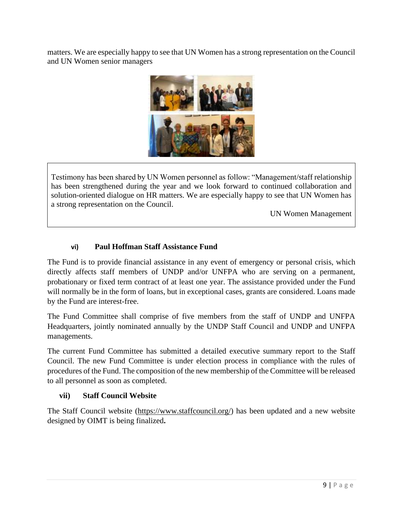matters. We are especially happy to see that UN Women has a strong representation on the Council and UN Women senior managers



Testimony has been shared by UN Women personnel as follow: "Management/staff relationship has been strengthened during the year and we look forward to continued collaboration and solution-oriented dialogue on HR matters. We are especially happy to see that UN Women has a strong representation on the Council.

UN Women Management

## **vi) Paul Hoffman Staff Assistance Fund**

The Fund is to provide financial assistance in any event of emergency or personal crisis, which directly affects staff members of UNDP and/or UNFPA who are serving on a permanent, probationary or fixed term contract of at least one year. The assistance provided under the Fund will normally be in the form of loans, but in exceptional cases, grants are considered. Loans made by the Fund are interest-free.

The Fund Committee shall comprise of five members from the staff of UNDP and UNFPA Headquarters, jointly nominated annually by the UNDP Staff Council and UNDP and UNFPA managements.

The current Fund Committee has submitted a detailed executive summary report to the Staff Council. The new Fund Committee is under election process in compliance with the rules of procedures of the Fund. The composition of the new membership of the Committee will be released to all personnel as soon as completed.

#### **vii) Staff Council Website**

The Staff Council website [\(https://www.staffcouncil.org/\)](https://www.staffcouncil.org/) has been updated and a new website designed by OIMT is being finalized**.**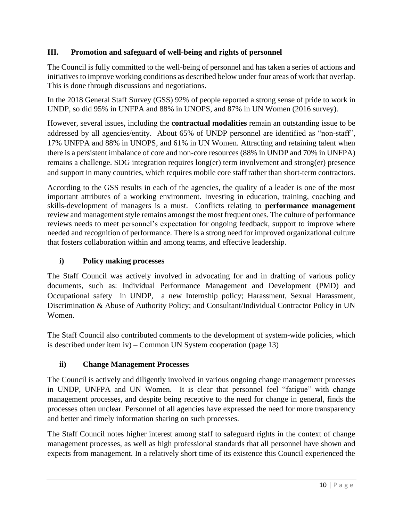## **III. Promotion and safeguard of well-being and rights of personnel**

The Council is fully committed to the well-being of personnel and has taken a series of actions and initiatives to improve working conditions as described below under four areas of work that overlap. This is done through discussions and negotiations.

In the 2018 General Staff Survey (GSS) 92% of people reported a strong sense of pride to work in UNDP, so did 95% in UNFPA and 88% in UNOPS, and 87% in UN Women (2016 survey).

However, several issues, including the **contractual modalities** remain an outstanding issue to be addressed by all agencies/entity. About 65% of UNDP personnel are identified as "non-staff", 17% UNFPA and 88% in UNOPS, and 61% in UN Women. Attracting and retaining talent when there is a persistent imbalance of core and non-core resources (88% in UNDP and 70% in UNFPA) remains a challenge. SDG integration requires long(er) term involvement and strong(er) presence and support in many countries, which requires mobile core staff rather than short-term contractors.

According to the GSS results in each of the agencies, the quality of a leader is one of the most important attributes of a working environment. Investing in education, training, coaching and skills-development of managers is a must. Conflicts relating to **performance management** review and management style remains amongst the most frequent ones. The culture of performance reviews needs to meet personnel's expectation for ongoing feedback, support to improve where needed and recognition of performance. There is a strong need for improved organizational culture that fosters collaboration within and among teams, and effective leadership.

## **i) Policy making processes**

The Staff Council was actively involved in advocating for and in drafting of various policy documents, such as: Individual Performance Management and Development (PMD) and Occupational safety in UNDP, a new Internship policy; Harassment, Sexual Harassment, Discrimination & Abuse of Authority Policy; and Consultant/Individual Contractor Policy in UN Women.

The Staff Council also contributed comments to the development of system-wide policies, which is described under item iv) – Common UN System cooperation (page 13)

## **ii) Change Management Processes**

The Council is actively and diligently involved in various ongoing change management processes in UNDP, UNFPA and UN Women. It is clear that personnel feel "fatigue" with change management processes, and despite being receptive to the need for change in general, finds the processes often unclear. Personnel of all agencies have expressed the need for more transparency and better and timely information sharing on such processes.

The Staff Council notes higher interest among staff to safeguard rights in the context of change management processes, as well as high professional standards that all personnel have shown and expects from management. In a relatively short time of its existence this Council experienced the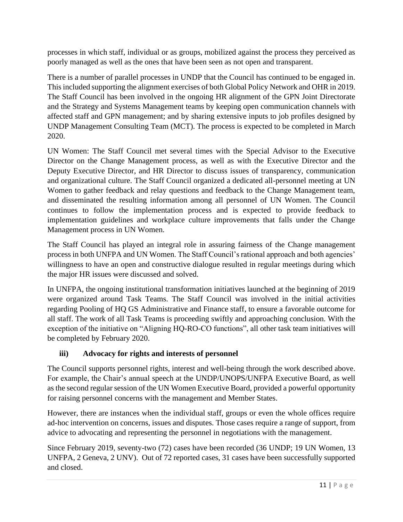processes in which staff, individual or as groups, mobilized against the process they perceived as poorly managed as well as the ones that have been seen as not open and transparent.

There is a number of parallel processes in UNDP that the Council has continued to be engaged in. This included supporting the alignment exercises of both Global Policy Network and OHR in 2019. The Staff Council has been involved in the ongoing HR alignment of the GPN Joint Directorate and the Strategy and Systems Management teams by keeping open communication channels with affected staff and GPN management; and by sharing extensive inputs to job profiles designed by UNDP Management Consulting Team (MCT). The process is expected to be completed in March 2020.

UN Women: The Staff Council met several times with the Special Advisor to the Executive Director on the Change Management process, as well as with the Executive Director and the Deputy Executive Director, and HR Director to discuss issues of transparency, communication and organizational culture. The Staff Council organized a dedicated all-personnel meeting at UN Women to gather feedback and relay questions and feedback to the Change Management team, and disseminated the resulting information among all personnel of UN Women. The Council continues to follow the implementation process and is expected to provide feedback to implementation guidelines and workplace culture improvements that falls under the Change Management process in UN Women.

The Staff Council has played an integral role in assuring fairness of the Change management process in both UNFPA and UN Women. The Staff Council's rational approach and both agencies' willingness to have an open and constructive dialogue resulted in regular meetings during which the major HR issues were discussed and solved.

In UNFPA, the ongoing institutional transformation initiatives launched at the beginning of 2019 were organized around Task Teams. The Staff Council was involved in the initial activities regarding Pooling of HQ GS Administrative and Finance staff, to ensure a favorable outcome for all staff. The work of all Task Teams is proceeding swiftly and approaching conclusion. With the exception of the initiative on "Aligning HQ-RO-CO functions", all other task team initiatives will be completed by February 2020.

## **iii) Advocacy for rights and interests of personnel**

The Council supports personnel rights, interest and well-being through the work described above. For example, the Chair's annual speech at the UNDP/UNOPS/UNFPA Executive Board, as well as the second regular session of the UN Women Executive Board, provided a powerful opportunity for raising personnel concerns with the management and Member States.

However, there are instances when the individual staff, groups or even the whole offices require ad-hoc intervention on concerns, issues and disputes. Those cases require a range of support, from advice to advocating and representing the personnel in negotiations with the management.

Since February 2019, seventy-two (72) cases have been recorded (36 UNDP; 19 UN Women, 13 UNFPA, 2 Geneva, 2 UNV). Out of 72 reported cases, 31 cases have been successfully supported and closed.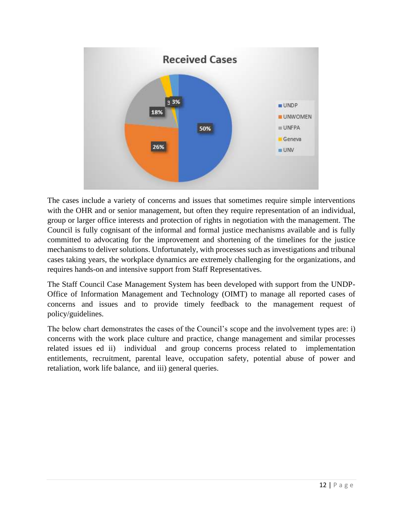

The cases include a variety of concerns and issues that sometimes require simple interventions with the OHR and or senior management, but often they require representation of an individual, group or larger office interests and protection of rights in negotiation with the management. The Council is fully cognisant of the informal and formal justice mechanisms available and is fully committed to advocating for the improvement and shortening of the timelines for the justice mechanisms to deliver solutions. Unfortunately, with processes such as investigations and tribunal cases taking years, the workplace dynamics are extremely challenging for the organizations, and requires hands-on and intensive support from Staff Representatives.

The Staff Council Case Management System has been developed with support from the UNDP-Office of Information Management and Technology (OIMT) to manage all reported cases of concerns and issues and to provide timely feedback to the management request of policy/guidelines.

The below chart demonstrates the cases of the Council's scope and the involvement types are: i) concerns with the work place culture and practice, change management and similar processes related issues ed ii) individual and group concerns process related to implementation entitlements, recruitment, parental leave, occupation safety, potential abuse of power and retaliation, work life balance, and iii) general queries.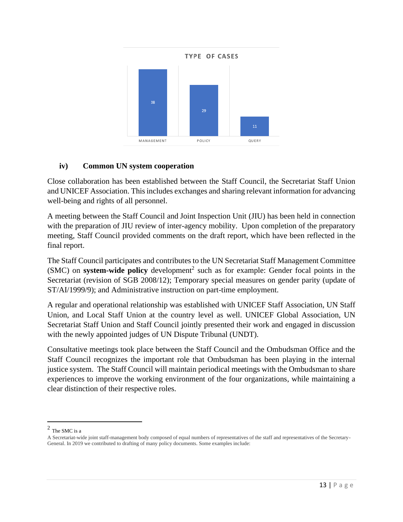

## **iv) Common UN system cooperation**

Close collaboration has been established between the Staff Council, the Secretariat Staff Union and UNICEF Association. This includes exchanges and sharing relevant information for advancing well-being and rights of all personnel.

A meeting between the Staff Council and Joint Inspection Unit (JIU) has been held in connection with the preparation of JIU review of inter-agency mobility. Upon completion of the preparatory meeting, Staff Council provided comments on the draft report, which have been reflected in the final report.

The Staff Council participates and contributes to the UN Secretariat Staff Management Committee (SMC) on **system-wide policy** development<sup>2</sup> such as for example: Gender focal points in the Secretariat (revision of SGB 2008/12); Temporary special measures on gender parity (update of ST/AI/1999/9); and Administrative instruction on part-time employment.

A regular and operational relationship was established with UNICEF Staff Association, UN Staff Union, and Local Staff Union at the country level as well. UNICEF Global Association, UN Secretariat Staff Union and Staff Council jointly presented their work and engaged in discussion with the newly appointed judges of UN Dispute Tribunal (UNDT).

Consultative meetings took place between the Staff Council and the Ombudsman Office and the Staff Council recognizes the important role that Ombudsman has been playing in the internal justice system. The Staff Council will maintain periodical meetings with the Ombudsman to share experiences to improve the working environment of the four organizations, while maintaining a clear distinction of their respective roles.

 $^2$  The SMC is a

A Secretariat-wide joint staff-management body composed of equal numbers of representatives of the staff and representatives of the Secretary-General. In 2019 we contributed to drafting of many policy documents. Some examples include: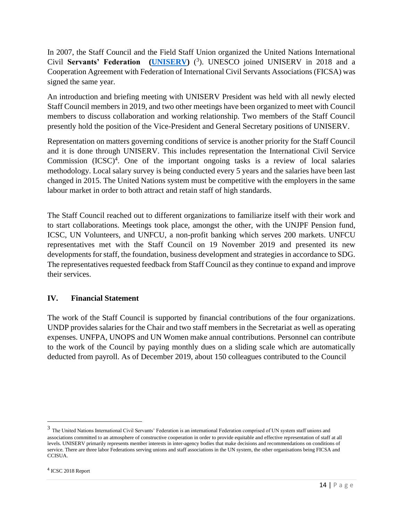In 2007, the Staff Council and the Field Staff Union organized the United Nations International Civil **Servants' Federation [\(UNISERV\)](https://uniserv-federation.com/)** ( 3 ). UNESCO joined UNISERV in 2018 and a Cooperation Agreement with Federation of International Civil Servants Associations (FICSA) was signed the same year.

An introduction and briefing meeting with UNISERV President was held with all newly elected Staff Council members in 2019, and two other meetings have been organized to meet with Council members to discuss collaboration and working relationship. Two members of the Staff Council presently hold the position of the Vice-President and General Secretary positions of UNISERV.

Representation on matters governing conditions of service is another priority for the Staff Council and it is done through UNISERV. This includes representation the International Civil Service Commission  $(ICSC)^4$ . One of the important ongoing tasks is a review of local salaries methodology. Local salary survey is being conducted every 5 years and the salaries have been last changed in 2015. The United Nations system must be competitive with the employers in the same labour market in order to both attract and retain staff of high standards.

The Staff Council reached out to different organizations to familiarize itself with their work and to start collaborations. Meetings took place, amongst the other, with the UNJPF Pension fund, ICSC, UN Volunteers, and UNFCU, a non-profit banking which serves 200 markets. UNFCU representatives met with the Staff Council on 19 November 2019 and presented its new developments for staff, the foundation, business development and strategies in accordance to SDG. The representatives requested feedback from Staff Council as they continue to expand and improve their services.

#### **IV. Financial Statement**

The work of the Staff Council is supported by financial contributions of the four organizations. UNDP provides salaries for the Chair and two staff members in the Secretariat as well as operating expenses. UNFPA, UNOPS and UN Women make annual contributions. Personnel can contribute to the work of the Council by paying monthly dues on a sliding scale which are automatically deducted from payroll. As of December 2019, about 150 colleagues contributed to the Council

<sup>&</sup>lt;sup>3</sup> The United Nations International Civil Servants' Federation is an international Federation comprised of UN system staff unions and associations committed to an atmosphere of constructive cooperation in order to provide equitable and effective representation of staff at all levels. UNISERV primarily represents member interests in inter-agency bodies that make decisions and recommendations on conditions of service. There are three labor Federations serving unions and staff associations in the UN system, the other organisations being FICSA and **CCISUA** 

<sup>4</sup> ICSC 2018 Report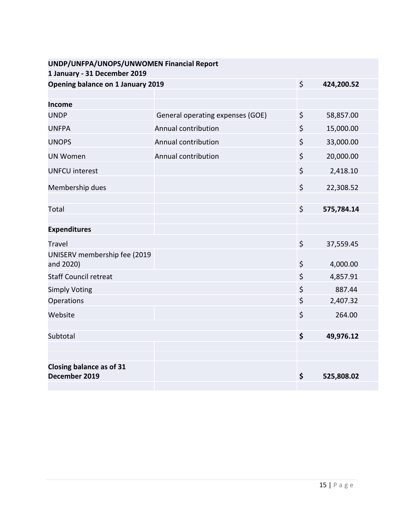| UNDP/UNFPA/UNOPS/UNWOMEN Financial Report |                                                         |                     |
|-------------------------------------------|---------------------------------------------------------|---------------------|
| Opening balance on 1 January 2019         | $\zeta$                                                 | 424,200.52          |
|                                           |                                                         |                     |
|                                           |                                                         |                     |
|                                           |                                                         | 58,857.00           |
|                                           |                                                         | 15,000.00           |
| Annual contribution                       | \$                                                      | 33,000.00           |
| Annual contribution                       | $\zeta$                                                 | 20,000.00           |
|                                           | $\zeta$                                                 | 2,418.10            |
|                                           | $\zeta$                                                 | 22,308.52           |
|                                           | \$                                                      | 575,784.14          |
|                                           |                                                         |                     |
|                                           | \$                                                      | 37,559.45           |
|                                           | \$                                                      | 4,000.00            |
|                                           | \$                                                      | 4,857.91            |
|                                           | \$                                                      | 887.44              |
|                                           | \$                                                      | 2,407.32            |
|                                           | \$                                                      | 264.00              |
|                                           |                                                         |                     |
|                                           |                                                         | 49,976.12           |
|                                           |                                                         |                     |
|                                           | \$                                                      | 525,808.02          |
|                                           | General operating expenses (GOE)<br>Annual contribution | $\zeta$<br>\$<br>\$ |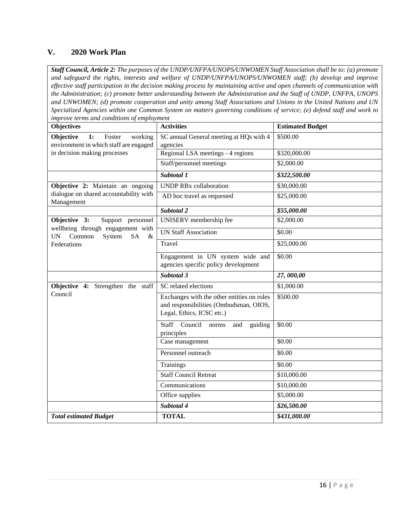#### **V. 2020 Work Plan**

*Staff Council, Article 2: The purposes of the UNDP/UNFPA/UNOPS/UNWOMEN Staff Association shall be to: (a) promote and safeguard the rights, interests and welfare of UNDP/UNFPA/UNOPS/UNWOMEN staff; (b) develop and improve effective staff participation in the decision making process by maintaining active and open channels of communication with the Administration; (c) promote better understanding between the Administration and the Staff of UNDP, UNFPA, UNOPS and UNWOMEN; (d) promote cooperation and unity among Staff Associations and Unions in the United Nations and UN Specialized Agencies within one Common System on matters governing conditions of service; (e) defend staff and work to improve terms and conditions of employment*

| <b>Objectives</b>                                                                | <b>Activities</b>                                                                    | <b>Estimated Budget</b> |
|----------------------------------------------------------------------------------|--------------------------------------------------------------------------------------|-------------------------|
| Objective<br>1:<br>working<br>Foster<br>environment in which staff are engaged   | SC annual General meeting at HQs with 4<br>agencies                                  | \$500.00                |
| in decision making processes                                                     | Regional LSA meetings - 4 regions                                                    | \$320,000.00            |
|                                                                                  | Staff/personnel meetings                                                             | \$2,000.00              |
|                                                                                  | Subtotal 1                                                                           | \$322,500.00            |
| Objective 2: Maintain an ongoing                                                 | <b>UNDP RBx collaboration</b>                                                        | \$30,000.00             |
| dialogue on shared accountability with<br>Management                             | AD hoc travel as requested                                                           | \$25,000.00             |
|                                                                                  | Subtotal 2                                                                           | \$55,000.00             |
| Objective 3:<br>Support personnel                                                | UNISERV membership fee                                                               | \$2,000.00              |
| wellbeing through engagement with<br><b>UN</b><br>Common<br>System<br>SA<br>$\&$ | <b>UN Staff Association</b>                                                          | \$0.00                  |
| Federations                                                                      | Travel                                                                               | \$25,000.00             |
|                                                                                  | Engagement in UN system wide and                                                     | \$0.00                  |
|                                                                                  | agencies specific policy development                                                 |                         |
|                                                                                  | Subtotal 3                                                                           | 27,000,00               |
| Objective 4: Strengthen the staff                                                | SC related elections                                                                 | \$1,000.00              |
| Council                                                                          | Exchanges with the other entities on roles<br>and responsibilities (Ombudsman, OIOS, | \$500.00                |
|                                                                                  | Legal, Ethics, ICSC etc.)                                                            |                         |
|                                                                                  | <b>Staff</b><br>Council<br>guiding<br>norms<br>and<br>principles                     | \$0.00                  |
|                                                                                  | Case management                                                                      | \$0.00                  |
|                                                                                  | Personnel outreach                                                                   | \$0.00                  |
|                                                                                  | <b>Trainings</b>                                                                     | \$0.00                  |
|                                                                                  | <b>Staff Council Retreat</b>                                                         | \$10,000.00             |
|                                                                                  | Communications                                                                       | \$10,000.00             |
|                                                                                  | Office supplies                                                                      | \$5,000.00              |
|                                                                                  | Subtotal 4                                                                           | \$26,500.00             |